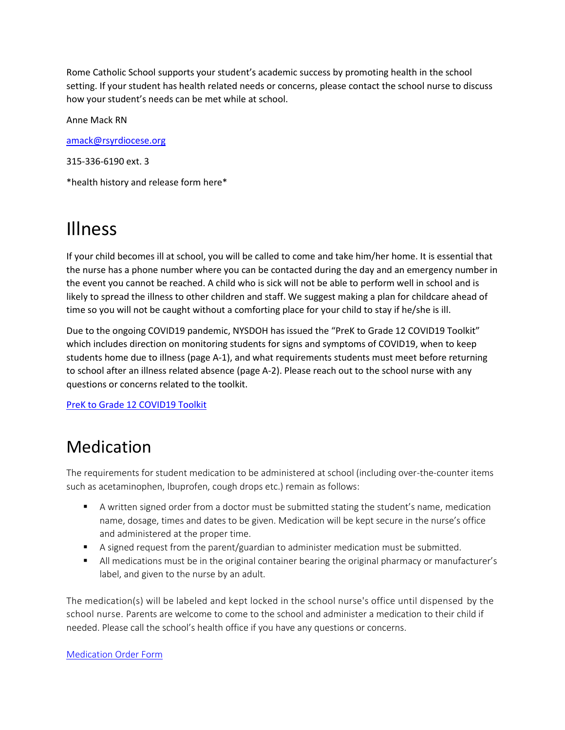Rome Catholic School supports your student's academic success by promoting health in the school setting. If your student has health related needs or concerns, please contact the school nurse to discuss how your student's needs can be met while at school.

Anne Mack RN

[amack@rsyrdiocese.org](mailto:amack@rsyrdiocese.org)

315-336-6190 ext. 3

\*health history and release form here\*

## Illness

If your child becomes ill at school, you will be called to come and take him/her home. It is essential that the nurse has a phone number where you can be contacted during the day and an emergency number in the event you cannot be reached. A child who is sick will not be able to perform well in school and is likely to spread the illness to other children and staff. We suggest making a plan for childcare ahead of time so you will not be caught without a comforting place for your child to stay if he/she is ill.

Due to the ongoing COVID19 pandemic, NYSDOH has issued the "PreK to Grade 12 COVID19 Toolkit" which includes direction on monitoring students for signs and symptoms of COVID19, when to keep students home due to illness (page A-1), and what requirements students must meet before returning to school after an illness related absence (page A-2). Please reach out to the school nurse with any questions or concerns related to the toolkit.

[PreK to Grade 12 COVID19 Toolkit](https://www.romecatholic.org/wp-content/uploads/COVIDprek-gr12_toolkit.pdf)

### Medication

The requirements for student medication to be administered at school (including over-the-counter items such as acetaminophen, Ibuprofen, cough drops etc.) remain as follows:

- A written signed order from a doctor must be submitted stating the student's name, medication name, dosage, times and dates to be given. Medication will be kept secure in the nurse's office and administered at the proper time.
- A signed request from the parent/guardian to administer medication must be submitted.
- All medications must be in the original container bearing the original pharmacy or manufacturer's label, and given to the nurse by an adult.

The medication(s) will be labeled and kept locked in the school nurse's office until dispensed by the school nurse. Parents are welcome to come to the school and administer a medication to their child if needed. Please call the school's health office if you have any questions or concerns.

#### [Medication Order Form](https://www.romecatholic.org/wp-content/uploads/Immunization-Form-2020.pdf)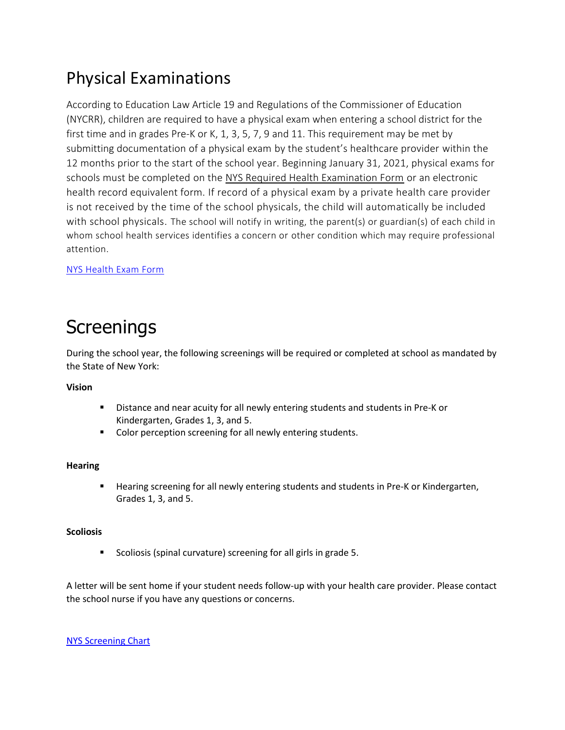### Physical Examinations

According to Education Law Article 19 and Regulations of the Commissioner of Education (NYCRR), children are required to have a physical exam when entering a school district for the first time and in grades Pre-K or K, 1, 3, 5, 7, 9 and 11. This requirement may be met by submitting documentation of a physical exam by the student's healthcare provider within the 12 months prior to the start of the school year. Beginning January 31, 2021, physical exams for schools must be completed on the [NYS Required Health Examination Form](http://www.p12.nysed.gov/sss/documents/health-exam-form.pdf) or an electronic health record equivalent form. If record of a physical exam by a private health care provider is not received by the time of the school physicals, the child will automatically be included with school physicals. The school will notify in writing, the parent(s) or guardian(s) of each child in whom school health services identifies a concern or other condition which may require professional attention.

[NYS Health Exam Form](https://www.romecatholic.org/wp-content/uploads/Health-Exam-Form.pdf)

### **Screenings**

During the school year, the following screenings will be required or completed at school as mandated by the State of New York:

#### **Vision**

- Distance and near acuity for all newly entering students and students in Pre-K or Kindergarten, Grades 1, 3, and 5.
- Color perception screening for all newly entering students.

#### **Hearing**

**Hearing screening for all newly entering students and students in Pre-K or Kindergarten,** Grades 1, 3, and 5.

#### **Scoliosis**

**Scoliosis (spinal curvature) screening for all girls in grade 5.** 

A letter will be sent home if your student needs follow-up with your health care provider. Please contact the school nurse if you have any questions or concerns.

[NYS Screening Chart](https://www.romecatholic.org/wp-content/uploads/NYS-Screening-and-Health-Requirements.pdf)